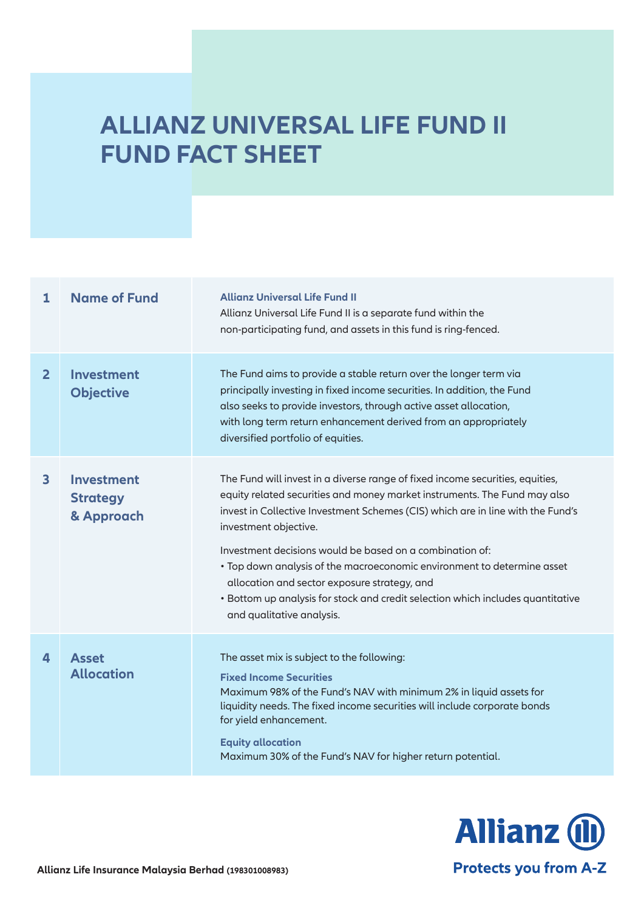# **ALLIANZ UNIVERSAL LIFE FUND II FUND FACT SHEET**

| 1              | <b>Name of Fund</b>                                | <b>Allianz Universal Life Fund II</b><br>Allianz Universal Life Fund II is a separate fund within the<br>non-participating fund, and assets in this fund is ring-fenced.                                                                                                                                                                                                                                                                                                                                                                                                      |
|----------------|----------------------------------------------------|-------------------------------------------------------------------------------------------------------------------------------------------------------------------------------------------------------------------------------------------------------------------------------------------------------------------------------------------------------------------------------------------------------------------------------------------------------------------------------------------------------------------------------------------------------------------------------|
| $\overline{2}$ | <b>Investment</b><br><b>Objective</b>              | The Fund aims to provide a stable return over the longer term via<br>principally investing in fixed income securities. In addition, the Fund<br>also seeks to provide investors, through active asset allocation,<br>with long term return enhancement derived from an appropriately<br>diversified portfolio of equities.                                                                                                                                                                                                                                                    |
| $\mathbf{3}$   | <b>Investment</b><br><b>Strategy</b><br>& Approach | The Fund will invest in a diverse range of fixed income securities, equities,<br>equity related securities and money market instruments. The Fund may also<br>invest in Collective Investment Schemes (CIS) which are in line with the Fund's<br>investment objective.<br>Investment decisions would be based on a combination of:<br>• Top down analysis of the macroeconomic environment to determine asset<br>allocation and sector exposure strategy, and<br>• Bottom up analysis for stock and credit selection which includes quantitative<br>and qualitative analysis. |
| 4              | <b>Asset</b><br><b>Allocation</b>                  | The asset mix is subject to the following:<br><b>Fixed Income Securities</b><br>Maximum 98% of the Fund's NAV with minimum 2% in liquid assets for<br>liquidity needs. The fixed income securities will include corporate bonds<br>for yield enhancement.<br><b>Equity allocation</b><br>Maximum 30% of the Fund's NAV for higher return potential.                                                                                                                                                                                                                           |

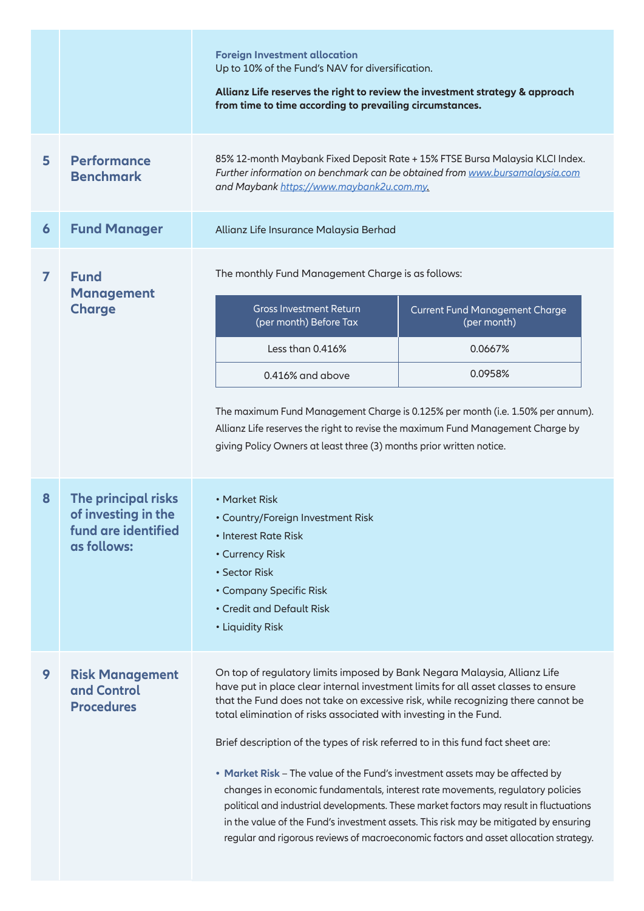|                |                                                                                  | <b>Foreign Investment allocation</b><br>Up to 10% of the Fund's NAV for diversification.<br>Allianz Life reserves the right to review the investment strategy & approach<br>from time to time according to prevailing circumstances.                                                                                                                                                                                                                                                                                                                                                                                                                                                                                                                                                                                                                    |                                                                                                                                                                                                                                                                                                                                                                              |  |  |  |
|----------------|----------------------------------------------------------------------------------|---------------------------------------------------------------------------------------------------------------------------------------------------------------------------------------------------------------------------------------------------------------------------------------------------------------------------------------------------------------------------------------------------------------------------------------------------------------------------------------------------------------------------------------------------------------------------------------------------------------------------------------------------------------------------------------------------------------------------------------------------------------------------------------------------------------------------------------------------------|------------------------------------------------------------------------------------------------------------------------------------------------------------------------------------------------------------------------------------------------------------------------------------------------------------------------------------------------------------------------------|--|--|--|
| 5              | <b>Performance</b><br><b>Benchmark</b>                                           | 85% 12-month Maybank Fixed Deposit Rate + 15% FTSE Bursa Malaysia KLCI Index.<br>Further information on benchmark can be obtained from www.bursamalaysia.com<br>and Maybank https://www.maybank2u.com.my.                                                                                                                                                                                                                                                                                                                                                                                                                                                                                                                                                                                                                                               |                                                                                                                                                                                                                                                                                                                                                                              |  |  |  |
| 6              | <b>Fund Manager</b>                                                              | Allianz Life Insurance Malaysia Berhad                                                                                                                                                                                                                                                                                                                                                                                                                                                                                                                                                                                                                                                                                                                                                                                                                  |                                                                                                                                                                                                                                                                                                                                                                              |  |  |  |
| $\overline{ }$ | <b>Fund</b><br><b>Management</b><br><b>Charge</b>                                | <b>Gross Investment Return</b><br>(per month) Before Tax<br>Less than 0.416%<br>0.416% and above                                                                                                                                                                                                                                                                                                                                                                                                                                                                                                                                                                                                                                                                                                                                                        | The monthly Fund Management Charge is as follows:<br><b>Current Fund Management Charge</b><br>(per month)<br>0.0667%<br>0.0958%<br>The maximum Fund Management Charge is 0.125% per month (i.e. 1.50% per annum).<br>Allianz Life reserves the right to revise the maximum Fund Management Charge by<br>giving Policy Owners at least three (3) months prior written notice. |  |  |  |
| 8              | The principal risks<br>of investing in the<br>fund are identified<br>as follows: | • Market Risk<br>• Country/Foreign Investment Risk<br>• Interest Rate Risk<br>• Currency Risk<br>• Sector Risk<br>• Company Specific Risk<br>• Credit and Default Risk<br>• Liquidity Risk                                                                                                                                                                                                                                                                                                                                                                                                                                                                                                                                                                                                                                                              |                                                                                                                                                                                                                                                                                                                                                                              |  |  |  |
| 9              | <b>Risk Management</b><br>and Control<br><b>Procedures</b>                       | On top of regulatory limits imposed by Bank Negara Malaysia, Allianz Life<br>have put in place clear internal investment limits for all asset classes to ensure<br>that the Fund does not take on excessive risk, while recognizing there cannot be<br>total elimination of risks associated with investing in the Fund.<br>Brief description of the types of risk referred to in this fund fact sheet are:<br>• Market Risk - The value of the Fund's investment assets may be affected by<br>changes in economic fundamentals, interest rate movements, regulatory policies<br>political and industrial developments. These market factors may result in fluctuations<br>in the value of the Fund's investment assets. This risk may be mitigated by ensuring<br>regular and rigorous reviews of macroeconomic factors and asset allocation strategy. |                                                                                                                                                                                                                                                                                                                                                                              |  |  |  |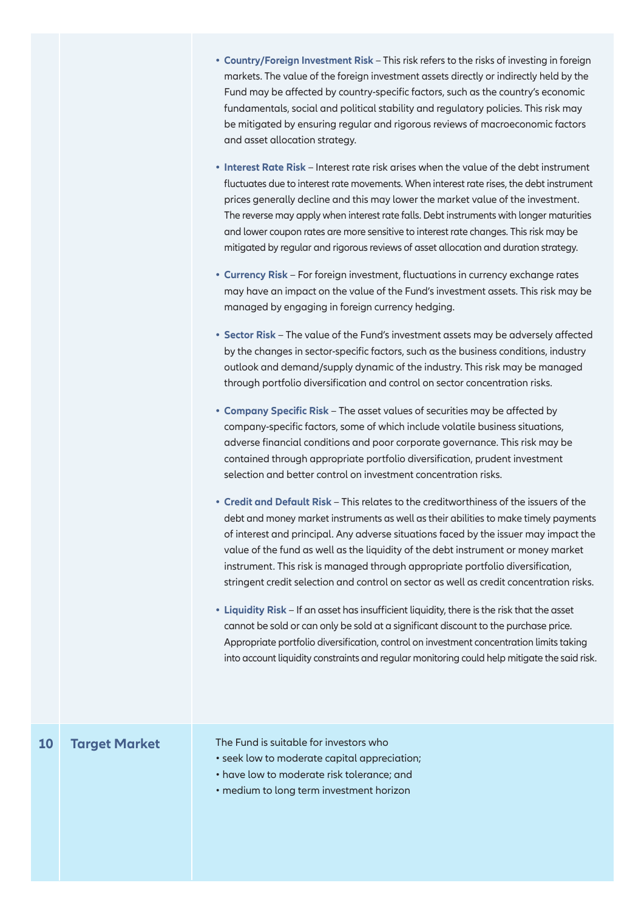- **Country/Foreign Investment Risk** This risk refers to the risks of investing in foreign **•**markets. The value of the foreign investment assets directly or indirectly held by the Fund may be affected by country-specific factors, such as the country's economic fundamentals, social and political stability and regulatory policies. This risk may be mitigated by ensuring regular and rigorous reviews of macroeconomic factors and asset allocation strategy.
- **Interest Rate Risk** Interest rate risk arises when the value of the debt instrument **•** fluctuates due to interest rate movements. When interest rate rises, the debt instrument prices generally decline and this may lower the market value of the investment. The reverse may apply when interest rate falls. Debt instruments with longer maturities and lower coupon rates are more sensitive to interest rate changes. This risk may be mitigated by regular and rigorous reviews of asset allocation and duration strategy.
- **Currency Risk** For foreign investment, fluctuations in currency exchange rates **•** may have an impact on the value of the Fund's investment assets. This risk may be managed by engaging in foreign currency hedging.
- **Sector Risk**  The value of the Fund's investment assets may be adversely affected **•** by the changes in sector-specific factors, such as the business conditions, industry outlook and demand/supply dynamic of the industry. This risk may be managed through portfolio diversification and control on sector concentration risks.
- **Company Specific Risk**  The asset values of securities may be affected by **•** company-specific factors, some of which include volatile business situations, adverse financial conditions and poor corporate governance. This risk may be contained through appropriate portfolio diversification, prudent investment selection and better control on investment concentration risks.
- **Credit and Default Risk** This relates to the creditworthiness of the issuers of the **•** debt and money market instruments as well as their abilities to make timely payments of interest and principal. Any adverse situations faced by the issuer may impact the value of the fund as well as the liquidity of the debt instrument or money market instrument. This risk is managed through appropriate portfolio diversification, stringent credit selection and control on sector as well as credit concentration risks.
- **Liquidity Risk** If an asset has insufficient liquidity, there is the risk that the asset **•** cannot be sold or can only be sold at a significant discount to the purchase price. Appropriate portfolio diversification, control on investment concentration limits taking into account liquidity constraints and regular monitoring could help mitigate the said risk.

# **10 Target Market**

The Fund is suitable for investors who

- seek low to moderate capital appreciation;
- have low to moderate risk tolerance; and
- medium to long term investment horizon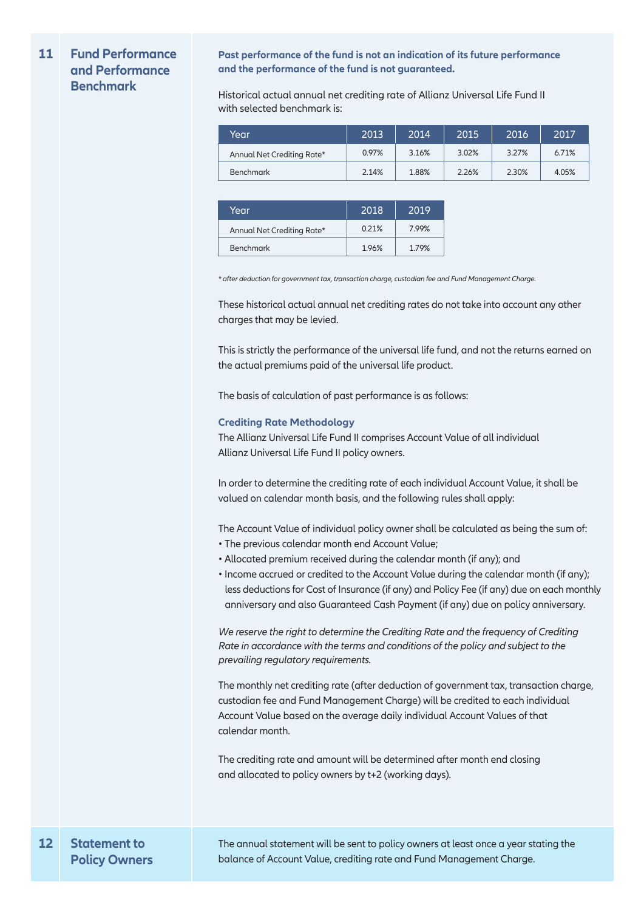### **11 Fund Performance and Performance Benchmark**

**Past performance of the fund is not an indication of its future performance and the performance of the fund is not guaranteed.**

Historical actual annual net crediting rate of Allianz Universal Life Fund II with selected benchmark is:

| Year                       | 2013  | 2014  | 2015  | 2016  | 2017  |
|----------------------------|-------|-------|-------|-------|-------|
| Annual Net Crediting Rate* | 0.97% | 3.16% | 3.02% | 3.27% | 6.71% |
| <b>Benchmark</b>           | 2.14% | 1.88% | 2.26% | 2.30% | 4.05% |

| Year                       | 2018  | 2019  |
|----------------------------|-------|-------|
| Annual Net Crediting Rate* | 0.21% | 7.99% |
| <b>Benchmark</b>           | 1.96% | 1.79% |

*\* after deduction for government tax, transaction charge, custodian fee and Fund Management Charge.* 

These historical actual annual net crediting rates do not take into account any other charges that may be levied.

This is strictly the performance of the universal life fund, and not the returns earned on the actual premiums paid of the universal life product.

The basis of calculation of past performance is as follows:

### **Crediting Rate Methodology**

The Allianz Universal Life Fund II comprises Account Value of all individual Allianz Universal Life Fund II policy owners.

In order to determine the crediting rate of each individual Account Value, it shall be valued on calendar month basis, and the following rules shall apply:

The Account Value of individual policy owner shall be calculated as being the sum of:

- The previous calendar month end Account Value;
- Allocated premium received during the calendar month (if any); and
- Income accrued or credited to the Account Value during the calendar month (if any); less deductions for Cost of Insurance (if any) and Policy Fee (if any) due on each monthly anniversary and also Guaranteed Cash Payment (if any) due on policy anniversary.

*We reserve the right to determine the Crediting Rate and the frequency of Crediting Rate in accordance with the terms and conditions of the policy and subject to the prevailing regulatory requirements.*

The monthly net crediting rate (after deduction of government tax, transaction charge, custodian fee and Fund Management Charge) will be credited to each individual Account Value based on the average daily individual Account Values of that calendar month.

The crediting rate and amount will be determined after month end closing and allocated to policy owners by t+2 (working days).

The annual statement will be sent to policy owners at least once a year stating the balance of Account Value, crediting rate and Fund Management Charge.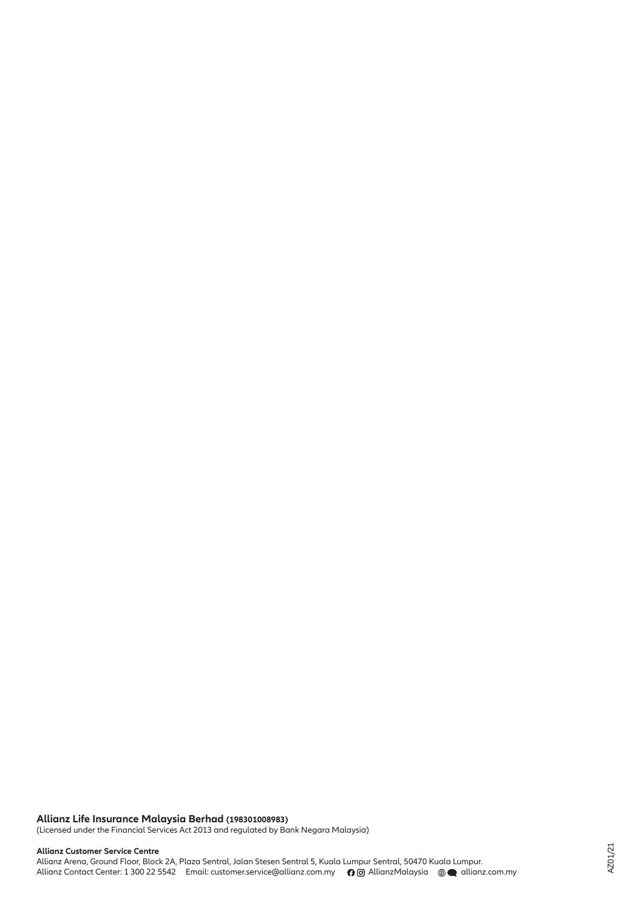# **Allianz Life Insurance Malaysia Berhad (198301008983)**

(Licensed under the Financial Services Act 2013 and regulated by Bank Negara Malaysia)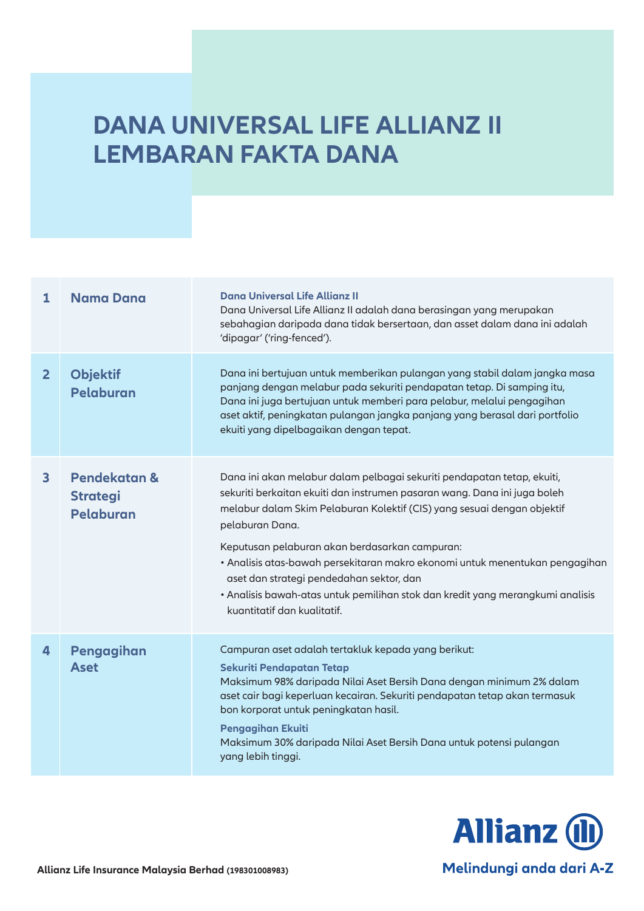# **DANA UNIVERSAL LIFE ALLIANZ II LEMBARAN FAKTA DANA**

| $\mathbf{1}$            | <b>Nama Dana</b>                             | Dana Universal Life Allianz II<br>Dana Universal Life Allianz II adalah dana berasingan yang merupakan<br>sebahagian daripada dana tidak bersertaan, dan asset dalam dana ini adalah<br>'dipagar' ('ring-fenced').                                                                                                                                                                                                                                                                                                                                |
|-------------------------|----------------------------------------------|---------------------------------------------------------------------------------------------------------------------------------------------------------------------------------------------------------------------------------------------------------------------------------------------------------------------------------------------------------------------------------------------------------------------------------------------------------------------------------------------------------------------------------------------------|
| 2 <sup>1</sup>          | <b>Objektif</b><br>Pelaburan                 | Dana ini bertujuan untuk memberikan pulangan yang stabil dalam jangka masa<br>panjang dengan melabur pada sekuriti pendapatan tetap. Di samping itu,<br>Dana ini juga bertujuan untuk memberi para pelabur, melalui pengagihan<br>aset aktif, peningkatan pulangan jangka panjang yang berasal dari portfolio<br>ekuiti yang dipelbagaikan dengan tepat.                                                                                                                                                                                          |
| $\overline{\mathbf{3}}$ | Pendekatan &<br><b>Strategi</b><br>Pelaburan | Dana ini akan melabur dalam pelbagai sekuriti pendapatan tetap, ekuiti,<br>sekuriti berkaitan ekuiti dan instrumen pasaran wang. Dana ini juga boleh<br>melabur dalam Skim Pelaburan Kolektif (CIS) yang sesuai dengan objektif<br>pelaburan Dana.<br>Keputusan pelaburan akan berdasarkan campuran:<br>• Analisis atas-bawah persekitaran makro ekonomi untuk menentukan pengagihan<br>aset dan strategi pendedahan sektor, dan<br>· Analisis bawah-atas untuk pemilihan stok dan kredit yang merangkumi analisis<br>kuantitatif dan kualitatif. |
| 4                       | Pengagihan<br><b>Aset</b>                    | Campuran aset adalah tertakluk kepada yang berikut:<br><b>Sekuriti Pendapatan Tetap</b><br>Maksimum 98% daripada Nilai Aset Bersih Dana dengan minimum 2% dalam<br>aset cair bagi keperluan kecairan. Sekuriti pendapatan tetap akan termasuk<br>bon korporat untuk peningkatan hasil.<br>Pengagihan Ekuiti<br>Maksimum 30% daripada Nilai Aset Bersih Dana untuk potensi pulangan<br>yang lebih tinggi.                                                                                                                                          |



Melindungi anda dari A-Z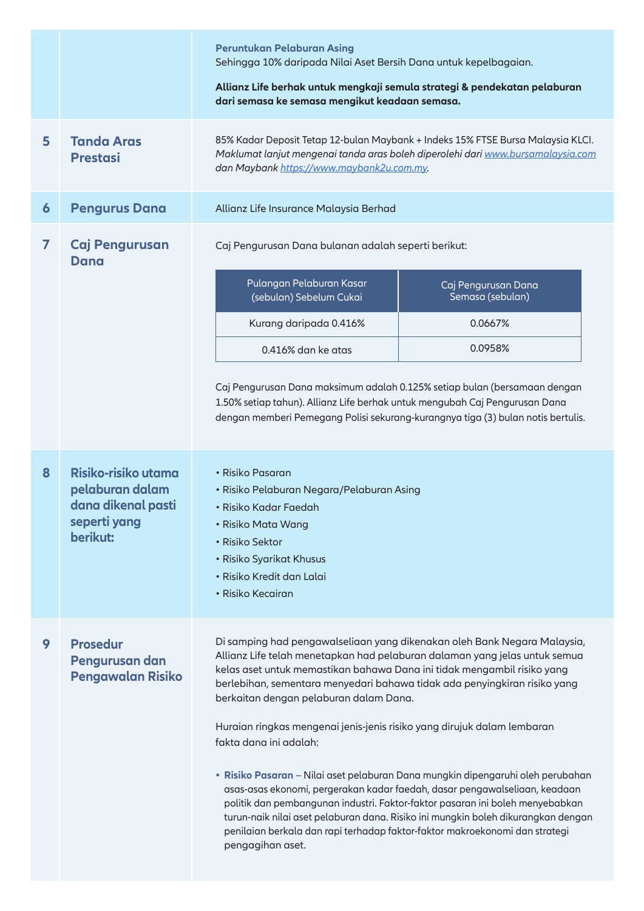|                |                                                                                          | Peruntukan Pelaburan Asing<br>Sehingga 10% daripada Nilai Aset Bersih Dana untuk kepelbagaian.<br>Allianz Life berhak untuk mengkaji semula strategi & pendekatan pelaburan<br>dari semasa ke semasa mengikut keadaan semasa.                                                                                                                                                                                                                                                                                                                                                                                                                                                                                                                                                                                                                                                                           |  |  |  |
|----------------|------------------------------------------------------------------------------------------|---------------------------------------------------------------------------------------------------------------------------------------------------------------------------------------------------------------------------------------------------------------------------------------------------------------------------------------------------------------------------------------------------------------------------------------------------------------------------------------------------------------------------------------------------------------------------------------------------------------------------------------------------------------------------------------------------------------------------------------------------------------------------------------------------------------------------------------------------------------------------------------------------------|--|--|--|
| 5              | <b>Tanda Aras</b><br><b>Prestasi</b>                                                     | 85% Kadar Deposit Tetap 12-bulan Maybank + Indeks 15% FTSE Bursa Malaysia KLCI.<br>Maklumat lanjut mengenai tanda aras boleh diperolehi dari www.bursamalaysia.com<br>dan Maybank https://www.maybank2u.com.my.                                                                                                                                                                                                                                                                                                                                                                                                                                                                                                                                                                                                                                                                                         |  |  |  |
| 6              | <b>Pengurus Dana</b>                                                                     | Allianz Life Insurance Malaysia Berhad                                                                                                                                                                                                                                                                                                                                                                                                                                                                                                                                                                                                                                                                                                                                                                                                                                                                  |  |  |  |
| $\overline{ }$ | Caj Pengurusan<br>Dana                                                                   | Caj Pengurusan Dana bulanan adalah seperti berikut:<br>Pulangan Pelaburan Kasar<br>Caj Pengurusan Dana<br>(sebulan) Sebelum Cukai<br>Semasa (sebulan)<br>0.0667%<br>Kurang daripada 0.416%<br>0.0958%<br>0.416% dan ke atas<br>Caj Pengurusan Dana maksimum adalah 0.125% setiap bulan (bersamaan dengan<br>1.50% setiap tahun). Allianz Life berhak untuk mengubah Caj Pengurusan Dana                                                                                                                                                                                                                                                                                                                                                                                                                                                                                                                 |  |  |  |
|                |                                                                                          | dengan memberi Pemegang Polisi sekurang-kurangnya tiga (3) bulan notis bertulis.                                                                                                                                                                                                                                                                                                                                                                                                                                                                                                                                                                                                                                                                                                                                                                                                                        |  |  |  |
| 8              | Risiko-risiko utama<br>pelaburan dalam<br>dana dikenal pasti<br>seperti yang<br>berikut: | · Risiko Pasaran<br>• Risiko Pelaburan Negara/Pelaburan Asing<br>• Risiko Kadar Faedah<br>• Risiko Mata Wang<br>• Risiko Sektor<br>• Risiko Syarikat Khusus<br>• Risiko Kredit dan Lalai<br>• Risiko Kecairan                                                                                                                                                                                                                                                                                                                                                                                                                                                                                                                                                                                                                                                                                           |  |  |  |
| 9              | <b>Prosedur</b><br>Pengurusan dan<br><b>Pengawalan Risiko</b>                            | Di samping had pengawalseliaan yang dikenakan oleh Bank Negara Malaysia,<br>Allianz Life telah menetapkan had pelaburan dalaman yang jelas untuk semua<br>kelas aset untuk memastikan bahawa Dana ini tidak mengambil risiko yang<br>berlebihan, sementara menyedari bahawa tidak ada penyingkiran risiko yang<br>berkaitan dengan pelaburan dalam Dana.<br>Huraian ringkas mengenai jenis-jenis risiko yang dirujuk dalam lembaran<br>fakta dana ini adalah:<br>· Risiko Pasaran - Nilai aset pelaburan Dana mungkin dipengaruhi oleh perubahan<br>asas-asas ekonomi, pergerakan kadar faedah, dasar pengawalseliaan, keadaan<br>politik dan pembangunan industri. Faktor-faktor pasaran ini boleh menyebabkan<br>turun-naik nilai aset pelaburan dana. Risiko ini mungkin boleh dikurangkan dengan<br>penilaian berkala dan rapi terhadap faktor-faktor makroekonomi dan strategi<br>pengagihan aset. |  |  |  |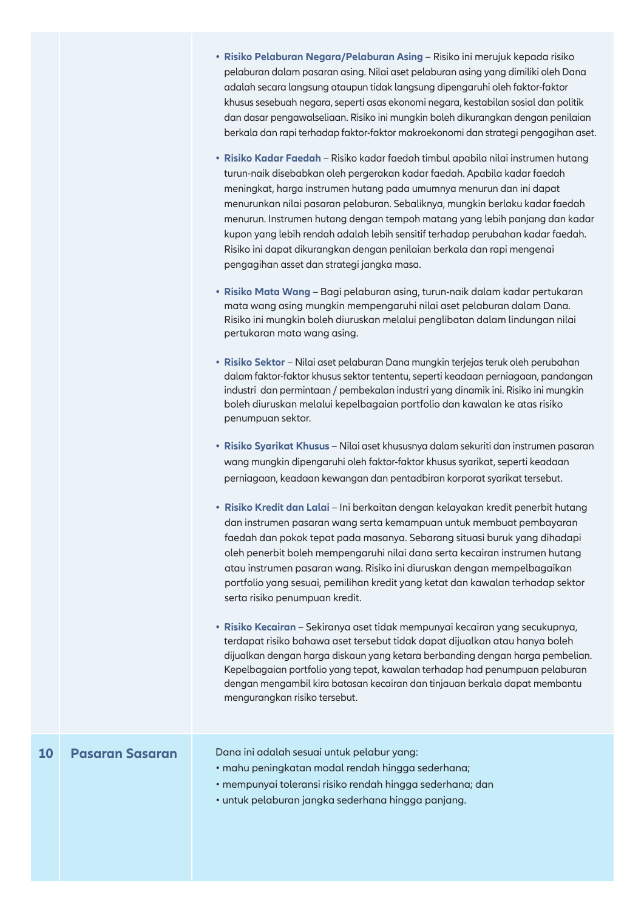- **Risiko Pelaburan Negara/Pelaburan Asing**  Risiko ini merujuk kepada risiko **•** pelaburan dalam pasaran asing. Nilai aset pelaburan asing yang dimiliki oleh Dana adalah secara langsung ataupun tidak langsung dipengaruhi oleh faktor-faktor khusus sesebuah negara, seperti asas ekonomi negara, kestabilan sosial dan politik dan dasar pengawalseliaan. Risiko ini mungkin boleh dikurangkan dengan penilaian berkala dan rapi terhadap faktor-faktor makroekonomi dan strategi pengagihan aset.
- **Risiko Kadar Faedah**  Risiko kadar faedah timbul apabila nilai instrumen hutang **•** turun-naik disebabkan oleh pergerakan kadar faedah. Apabila kadar faedah meningkat, harga instrumen hutang pada umumnya menurun dan ini dapat menurunkan nilai pasaran pelaburan. Sebaliknya, mungkin berlaku kadar faedah menurun. Instrumen hutang dengan tempoh matang yang lebih panjang dan kadar kupon yang lebih rendah adalah lebih sensitif terhadap perubahan kadar faedah. Risiko ini dapat dikurangkan dengan penilaian berkala dan rapi mengenai pengagihan asset dan strategi jangka masa.
- **Risiko Mata Wang**  Bagi pelaburan asing, turun-naik dalam kadar pertukaran **•** mata wang asing mungkin mempengaruhi nilai aset pelaburan dalam Dana. Risiko ini mungkin boleh diuruskan melalui penglibatan dalam lindungan nilai pertukaran mata wang asing.
- **Risiko Sektor**  Nilai aset pelaburan Dana mungkin terjejas teruk oleh perubahan **•** dalam faktor-faktor khusus sektor tententu, seperti keadaan perniagaan, pandangan industri dan permintaan / pembekalan industri yang dinamik ini. Risiko ini mungkin boleh diuruskan melalui kepelbagaian portfolio dan kawalan ke atas risiko penumpuan sektor.
- **Risiko Syarikat Khusus**  Nilai aset khususnya dalam sekuriti dan instrumen pasaran **•**wang mungkin dipengaruhi oleh faktor-faktor khusus syarikat, seperti keadaan perniagaan, keadaan kewangan dan pentadbiran korporat syarikat tersebut.
- **Risiko Kredit dan Lalai**  Ini berkaitan dengan kelayakan kredit penerbit hutang **•** dan instrumen pasaran wang serta kemampuan untuk membuat pembayaran faedah dan pokok tepat pada masanya. Sebarang situasi buruk yang dihadapi oleh penerbit boleh mempengaruhi nilai dana serta kecairan instrumen hutang atau instrumen pasaran wang. Risiko ini diuruskan dengan mempelbagaikan portfolio yang sesuai, pemilihan kredit yang ketat dan kawalan terhadap sektor serta risiko penumpuan kredit.
- **• Risiko Kecairan**  Sekiranya aset tidak mempunyai kecairan yang secukupnya, terdapat risiko bahawa aset tersebut tidak dapat dijualkan atau hanya boleh dijualkan dengan harga diskaun yang ketara berbanding dengan harga pembelian. Kepelbagaian portfolio yang tepat, kawalan terhadap had penumpuan pelaburan dengan mengambil kira batasan kecairan dan tinjauan berkala dapat membantu mengurangkan risiko tersebut.

# **10 Pasaran Sasaran**

Dana ini adalah sesuai untuk pelabur yang:

- mahu peningkatan modal rendah hingga sederhana;
- mempunyai toleransi risiko rendah hingga sederhana; dan
- untuk pelaburan jangka sederhana hingga panjang.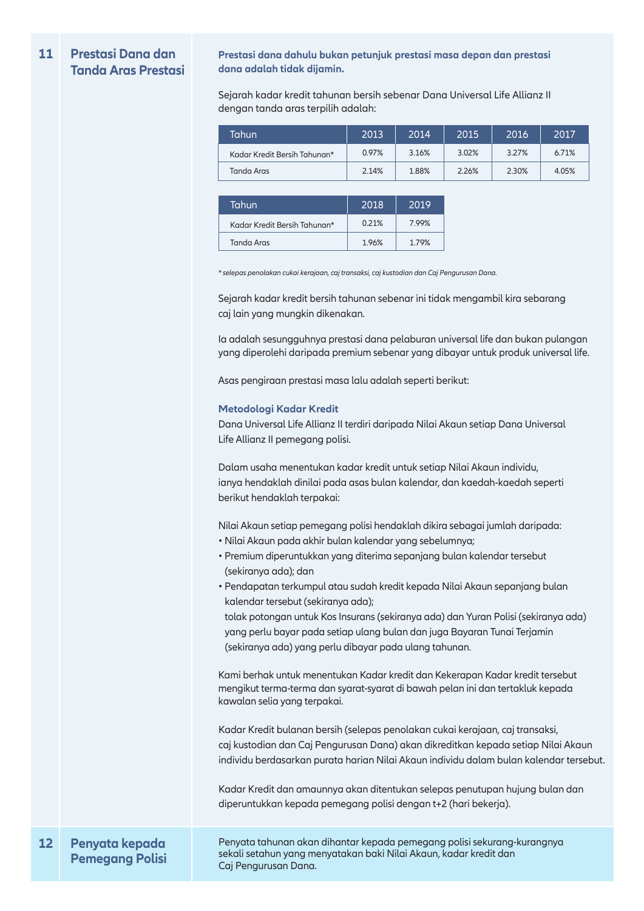#### **11 Prestasi Dana dan Tanda Aras Prestasi**

**Prestasi dana dahulu bukan petunjuk prestasi masa depan dan prestasi dana adalah tidak dijamin.**

Sejarah kadar kredit tahunan bersih sebenar Dana Universal Life Allianz II dengan tanda aras terpilih adalah:

| Tahun                        | 2013  | 2014  | 2015  | 2016  | 2017  |
|------------------------------|-------|-------|-------|-------|-------|
| Kadar Kredit Bersih Tahunan* | 0.97% | 3.16% | 3.02% | 3.27% | 6.71% |
| Tanda Aras                   | 2.14% | 1.88% | 2.26% | 2.30% | 4.05% |

| Tahun                        | 2018  | 2019  |
|------------------------------|-------|-------|
| Kadar Kredit Bersih Tahunan* | 0.21% | 7.99% |
| Tanda Aras                   | 1.96% | 179%  |

*\* selepas penolakan cukai kerajaan, caj transaksi, caj kustodian dan Caj Pengurusan Dana.* 

Sejarah kadar kredit bersih tahunan sebenar ini tidak mengambil kira sebarang caj lain yang mungkin dikenakan.

Ia adalah sesungguhnya prestasi dana pelaburan universal life dan bukan pulangan yang diperolehi daripada premium sebenar yang dibayar untuk produk universal life.

Asas pengiraan prestasi masa lalu adalah seperti berikut:

#### **Metodologi Kadar Kredit**

Dana Universal Life Allianz II terdiri daripada Nilai Akaun setiap Dana Universal Life Allianz II pemegang polisi.

Dalam usaha menentukan kadar kredit untuk setiap Nilai Akaun individu, ianya hendaklah dinilai pada asas bulan kalendar, dan kaedah-kaedah seperti berikut hendaklah terpakai:

Nilai Akaun setiap pemegang polisi hendaklah dikira sebagai jumlah daripada:

- Nilai Akaun pada akhir bulan kalendar yang sebelumnya;
- Premium diperuntukkan yang diterima sepanjang bulan kalendar tersebut (sekiranya ada); dan
- Pendapatan terkumpul atau sudah kredit kepada Nilai Akaun sepanjang bulan kalendar tersebut (sekiranya ada);

 tolak potongan untuk Kos Insurans (sekiranya ada) dan Yuran Polisi (sekiranya ada) yang perlu bayar pada setiap ulang bulan dan juga Bayaran Tunai Terjamin (sekiranya ada) yang perlu dibayar pada ulang tahunan.

Kami berhak untuk menentukan Kadar kredit dan Kekerapan Kadar kredit tersebut mengikut terma-terma dan syarat-syarat di bawah pelan ini dan tertakluk kepada kawalan selia yang terpakai.

Kadar Kredit bulanan bersih (selepas penolakan cukai kerajaan, caj transaksi, caj kustodian dan Caj Pengurusan Dana) akan dikreditkan kepada setiap Nilai Akaun individu berdasarkan purata harian Nilai Akaun individu dalam bulan kalendar tersebut.

Kadar Kredit dan amaunnya akan ditentukan selepas penutupan hujung bulan dan diperuntukkan kepada pemegang polisi dengan t+2 (hari bekerja).

#### **12 Penyata kepada Pemegang Polisi**

Penyata tahunan akan dihantar kepada pemegang polisi sekurang-kurangnya sekali setahun yang menyatakan baki Nilai Akaun, kadar kredit dan Caj Pengurusan Dana.